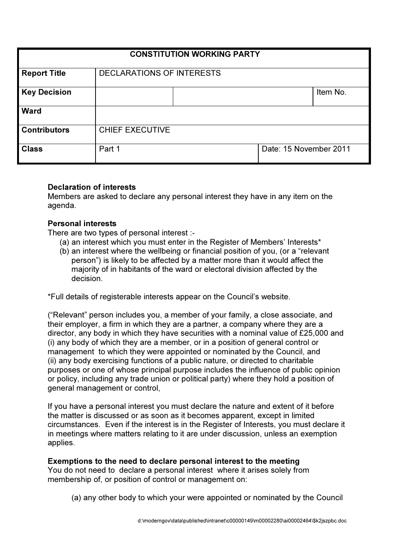| <b>CONSTITUTION WORKING PARTY</b> |                                  |  |                        |          |
|-----------------------------------|----------------------------------|--|------------------------|----------|
| <b>Report Title</b>               | <b>DECLARATIONS OF INTERESTS</b> |  |                        |          |
| <b>Key Decision</b>               |                                  |  |                        | Item No. |
| <b>Ward</b>                       |                                  |  |                        |          |
| <b>Contributors</b>               | <b>CHIEF EXECUTIVE</b>           |  |                        |          |
| <b>Class</b>                      | Part 1                           |  | Date: 15 November 2011 |          |

#### Declaration of interests

Members are asked to declare any personal interest they have in any item on the agenda.

#### Personal interests

There are two types of personal interest :-

- (a) an interest which you must enter in the Register of Members' Interests\*
- (b) an interest where the wellbeing or financial position of you, (or a "relevant person") is likely to be affected by a matter more than it would affect the majority of in habitants of the ward or electoral division affected by the decision.

\*Full details of registerable interests appear on the Council's website.

("Relevant" person includes you, a member of your family, a close associate, and their employer, a firm in which they are a partner, a company where they are a director, any body in which they have securities with a nominal value of £25,000 and (i) any body of which they are a member, or in a position of general control or management to which they were appointed or nominated by the Council, and (ii) any body exercising functions of a public nature, or directed to charitable purposes or one of whose principal purpose includes the influence of public opinion or policy, including any trade union or political party) where they hold a position of general management or control,

If you have a personal interest you must declare the nature and extent of it before the matter is discussed or as soon as it becomes apparent, except in limited circumstances. Even if the interest is in the Register of Interests, you must declare it in meetings where matters relating to it are under discussion, unless an exemption applies.

Exemptions to the need to declare personal interest to the meeting You do not need to declare a personal interest where it arises solely from membership of, or position of control or management on:

(a) any other body to which your were appointed or nominated by the Council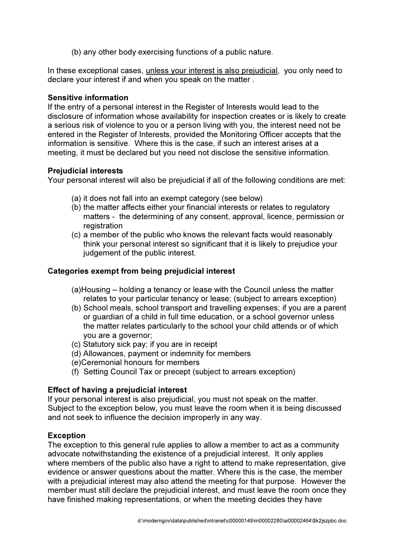(b) any other body exercising functions of a public nature.

In these exceptional cases, unless your interest is also prejudicial, you only need to declare your interest if and when you speak on the matter .

### Sensitive information

If the entry of a personal interest in the Register of Interests would lead to the disclosure of information whose availability for inspection creates or is likely to create a serious risk of violence to you or a person living with you, the interest need not be entered in the Register of Interests, provided the Monitoring Officer accepts that the information is sensitive. Where this is the case, if such an interest arises at a meeting, it must be declared but you need not disclose the sensitive information.

### Prejudicial interests

Your personal interest will also be prejudicial if all of the following conditions are met:

- (a) it does not fall into an exempt category (see below)
- (b) the matter affects either your financial interests or relates to regulatory matters - the determining of any consent, approval, licence, permission or registration
- (c) a member of the public who knows the relevant facts would reasonably think your personal interest so significant that it is likely to prejudice your judgement of the public interest.

# Categories exempt from being prejudicial interest

- (a)Housing holding a tenancy or lease with the Council unless the matter relates to your particular tenancy or lease; (subject to arrears exception)
- (b) School meals, school transport and travelling expenses; if you are a parent or guardian of a child in full time education, or a school governor unless the matter relates particularly to the school your child attends or of which you are a governor;
- (c) Statutory sick pay; if you are in receipt
- (d) Allowances, payment or indemnity for members
- (e)Ceremonial honours for members
- (f) Setting Council Tax or precept (subject to arrears exception)

# Effect of having a prejudicial interest

If your personal interest is also prejudicial, you must not speak on the matter. Subject to the exception below, you must leave the room when it is being discussed and not seek to influence the decision improperly in any way.

# Exception

The exception to this general rule applies to allow a member to act as a community advocate notwithstanding the existence of a prejudicial interest. It only applies where members of the public also have a right to attend to make representation, give evidence or answer questions about the matter. Where this is the case, the member with a prejudicial interest may also attend the meeting for that purpose. However the member must still declare the prejudicial interest, and must leave the room once they have finished making representations, or when the meeting decides they have